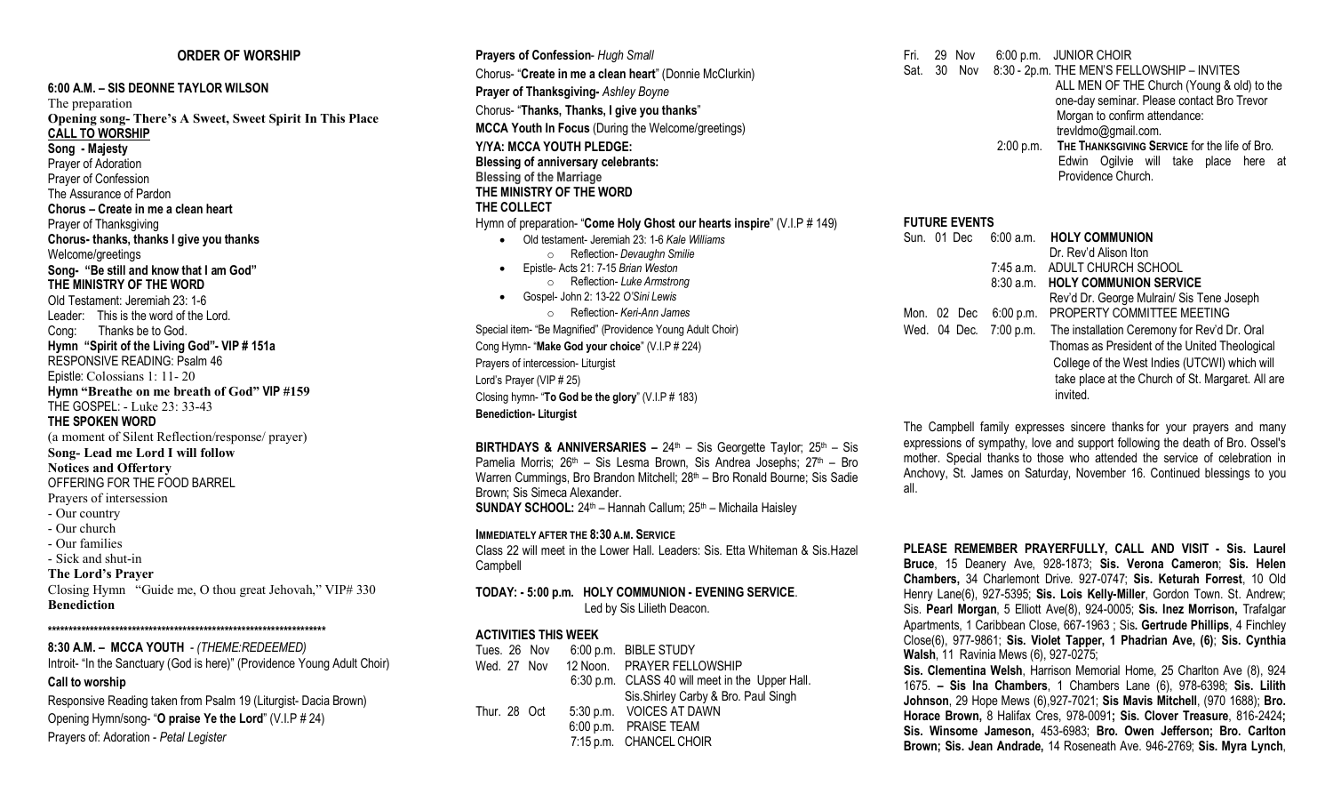## **ORDER OF WORSHIP**

## **6:00 A.M. – SIS DEONNE TAYLOR WILSON** The preparation **Opening song- There's A Sweet, Sweet Spirit In This Place CALL TO WORSHIP Song - Majesty** Prayer of Adoration Prayer of Confession The Assurance of Pardon **Chorus – Create in me a clean heart** Prayer of Thanksgiving **Chorus- thanks, thanks I give you thanks** Welcome/greetings **Song- "Be still and know that I am God" THE MINISTRY OF THE WORD** Old Testament: Jeremiah 23: 1-6 Leader: This is the word of the Lord. Cong: Thanks be to God. **Hymn "Spirit of the Living God"- VIP # 151a** RESPONSIVE READING: Psalm 46 Epistle: Colossians 1: 11- 20 **Hymn "Breathe on me breath of God" VIP #159** THE GOSPEL: - Luke 23: 33-43 **THE SPOKEN WORD** (a moment of Silent Reflection/response/ prayer) **Song- Lead me Lord I will follow Notices and Offertory** OFFERING FOR THE FOOD BARREL Prayers of intersession - Our country - Our church - Our families - Sick and shut-in **The Lord's Prayer** Closing Hymn "Guide me, O thou great Jehovah," VIP# 330 **Benediction \*\*\*\*\*\*\*\*\*\*\*\*\*\*\*\*\*\*\*\*\*\*\*\*\*\*\*\*\*\*\*\*\*\*\*\*\*\*\*\*\*\*\*\*\*\*\*\*\*\*\*\*\*\*\*\*\*\*\*\*\*\*\*\*\*\***

## **8:30 A.M. – MCCA YOUTH** *- (THEME:REDEEMED)* Introit- "In the Sanctuary (God is here)" (Providence Young Adult Choir) **Call to worship**

Responsive Reading taken from Psalm 19 (Liturgist- Dacia Brown) Opening Hymn/song- "**O praise Ye the Lord**" (V.I.P # 24) Prayers of: Adoration - *Petal Legister*

**Prayers of Confession**- *Hugh Small* Chorus- "**Create in me a clean heart**" (Donnie McClurkin) **Prayer of Thanksgiving-** *Ashley Boyne* Chorus- "**Thanks, Thanks, I give you thanks**" **MCCA Youth In Focus** (During the Welcome/greetings) **Y/YA: MCCA YOUTH PLEDGE: Blessing of anniversary celebrants: Blessing of the Marriage THE MINISTRY OF THE WORD THE COLLECT** Hymn of preparation- "**Come Holy Ghost our hearts inspire**" (V.I.P # 149) • Old testament- Jeremiah 23: 1-6 *Kale Williams* o Reflection- *Devaughn Smilie* • Epistle- Acts 21: 7-15 *Brian Weston* o Reflection- *Luke Armstrong* • Gospel- John 2: 13-22 *O'Sini Lewis* o Reflection- *Keri-Ann James* Special item- "Be Magnified" (Providence Young Adult Choir) Cong Hymn- "**Make God your choice**" (V.I.P # 224) Prayers of intercession- Liturgist Lord's Prayer (VIP # 25)

Closing hymn- "**To God be the glory**" (V.I.P # 183) **Benediction- Liturgist**

**BIRTHDAYS & ANNIVERSARIES –** 24th – Sis Georgette Taylor; 25th – Sis Pamelia Morris; 26<sup>th</sup> – Sis Lesma Brown, Sis Andrea Josephs; 27<sup>th</sup> – Bro Warren Cummings, Bro Brandon Mitchell; 28<sup>th</sup> – Bro Ronald Bourne; Sis Sadie Brown; Sis Simeca Alexander. **SUNDAY SCHOOL:** 24<sup>th</sup> – Hannah Callum; 25<sup>th</sup> – Michaila Haisley

# **IMMEDIATELY AFTER THE 8:30 A.M. SERVICE**

Class 22 will meet in the Lower Hall. Leaders: Sis. Etta Whiteman & Sis.Hazel Campbell

#### **TODAY: - 5:00 p.m. HOLY COMMUNION - EVENING SERVICE**. Led by Sis Lilieth Deacon.

#### **ACTIVITIES THIS WEEK**

| Tues. 26 Nov |  | 6:00 p.m. BIBLE STUDY                           |
|--------------|--|-------------------------------------------------|
| Wed. 27 Nov  |  | 12 Noon. PRAYER FELLOWSHIP                      |
|              |  | 6:30 p.m. CLASS 40 will meet in the Upper Hall. |
|              |  | Sis. Shirley Carby & Bro. Paul Singh            |
| Thur. 28 Oct |  | 5:30 p.m. VOICES AT DAWN                        |
|              |  | 6:00 p.m. PRAISE TEAM                           |
|              |  | 7:15 p.m. CHANCEL CHOIR                         |
|              |  |                                                 |

- Fri. 29 Nov 6:00 p.m. JUNIOR CHOIR Sat. 30 Nov 8:30 - 2p.m. THE MEN'S FELLOWSHIP – INVITES ALL MEN OF THE Church (Young & old) to the one-day seminar. Please contact Bro Trevor Morgan to confirm attendance: trevldmo@gmail.com.
	- 2:00 p.m. **THE THANKSGIVING SERVICE** for the life of Bro. Edwin Ogilvie will take place here at Providence Church.

# **FUTURE EVENTS** Sun. 01 Dec 6:00 a.m. **HOLY COMMUNION** Dr. Rev'd Alison Iton 7:45 a.m. ADULT CHURCH SCHOOL 8:30 a.m. **HOLY COMMUNION SERVICE** Rev'd Dr. George Mulrain/ Sis Tene Joseph Mon. 02 Dec 6:00 p.m. PROPERTY COMMITTEE MEETING Wed. 04 Dec. 7:00 p.m. The installation Ceremony for Rev'd Dr. Oral Thomas as President of the United Theological College of the West Indies (UTCWI) which will take place at the Church of St. Margaret. All are invited.

The Campbell family expresses sincere thanks for your prayers and many expressions of sympathy, love and support following the death of Bro. Ossel's mother. Special thanks to those who attended the service of celebration in Anchovy, St. James on Saturday, November 16. Continued blessings to you all.

**PLEASE REMEMBER PRAYERFULLY, CALL AND VISIT - Sis. Laurel Bruce**, 15 Deanery Ave, 928-1873; **Sis. Verona Cameron**; **Sis. Helen Chambers,** 34 Charlemont Drive. 927-0747; **Sis. Keturah Forrest**, 10 Old Henry Lane(6), 927-5395; **Sis. Lois Kelly-Miller**, Gordon Town. St. Andrew; Sis. **Pearl Morgan**, 5 Elliott Ave(8), 924-0005; **Sis. Inez Morrison,** Trafalgar Apartments, 1 Caribbean Close, 667-1963 ; Sis**. Gertrude Phillips**, 4 Finchley Close(6), 977-9861; **Sis. Violet Tapper, 1 Phadrian Ave, (6)**; **Sis. Cynthia Walsh**, 11 Ravinia Mews (6), 927-0275;

**Sis. Clementina Welsh**, Harrison Memorial Home, 25 Charlton Ave (8), 924 1675. **– Sis Ina Chambers**, 1 Chambers Lane (6), 978-6398; **Sis. Lilith Johnson**, 29 Hope Mews (6),927-7021; **Sis Mavis Mitchell**, (970 1688); **Bro. Horace Brown,** 8 Halifax Cres, 978-0091**; Sis. Clover Treasure**, 816-2424**; Sis. Winsome Jameson,** 453-6983; **Bro. Owen Jefferson; Bro. Carlton Brown; Sis. Jean Andrade,** 14 Roseneath Ave. 946-2769; **Sis. Myra Lynch**,